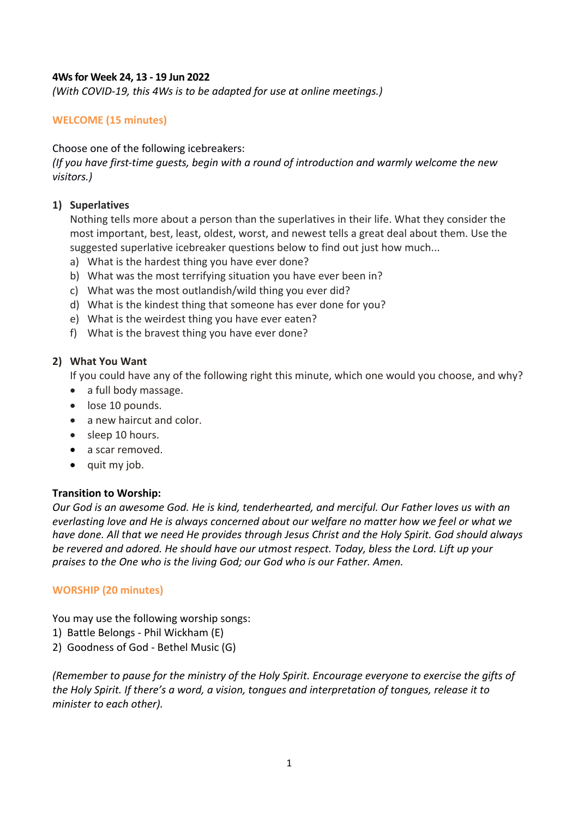# **4Ws for Week 24, 13 - 19 Jun 2022**

*(With COVID-19, this 4Ws is to be adapted for use at online meetings.)*

# **WELCOME (15 minutes)**

# Choose one of the following icebreakers:

*(If you have first-time guests, begin with a round of introduction and warmly welcome the new visitors.)*

## **1) Superlatives**

Nothing tells more about a person than the superlatives in their life. What they consider the most important, best, least, oldest, worst, and newest tells a great deal about them. Use the suggested superlative icebreaker questions below to find out just how much...

- a) What is the hardest thing you have ever done?
- b) What was the most terrifying situation you have ever been in?
- c) What was the most outlandish/wild thing you ever did?
- d) What is the kindest thing that someone has ever done for you?
- e) What is the weirdest thing you have ever eaten?
- f) What is the bravest thing you have ever done?

## **2) What You Want**

If you could have any of the following right this minute, which one would you choose, and why?

- a full body massage.
- lose 10 pounds.
- a new haircut and color.
- sleep 10 hours.
- a scar removed.
- quit my job.

### **Transition to Worship:**

*Our God is an awesome God. He is kind, tenderhearted, and merciful. Our Father loves us with an everlasting love and He is always concerned about our welfare no matter how we feel or what we have done. All that we need He provides through Jesus Christ and the Holy Spirit. God should always be revered and adored. He should have our utmost respect. Today, bless the Lord. Lift up your praises to the One who is the living God; our God who is our Father. Amen.*

# **WORSHIP (20 minutes)**

You may use the following worship songs:

- 1) Battle Belongs Phil Wickham (E)
- 2) Goodness of God Bethel Music (G)

*(Remember to pause for the ministry of the Holy Spirit. Encourage everyone to exercise the gifts of the Holy Spirit. If there's a word, a vision, tongues and interpretation of tongues, release it to minister to each other).*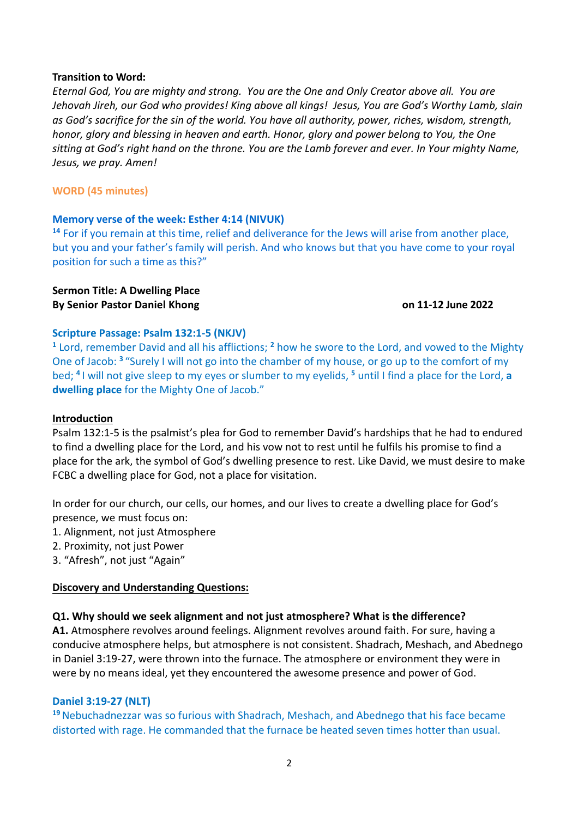### **Transition to Word:**

*Eternal God, You are mighty and strong. You are the One and Only Creator above all. You are Jehovah Jireh, our God who provides! King above all kings! Jesus, You are God's Worthy Lamb, slain as God's sacrifice for the sin of the world. You have all authority, power, riches, wisdom, strength, honor, glory and blessing in heaven and earth. Honor, glory and power belong to You, the One sitting at God's right hand on the throne. You are the Lamb forever and ever. In Your mighty Name, Jesus, we pray. Amen!*

#### **WORD (45 minutes)**

#### **Memory verse of the week: Esther 4:14 (NIVUK)**

**<sup>14</sup>** For if you remain at this time, relief and deliverance for the Jews will arise from another place, but you and your father's family will perish. And who knows but that you have come to your royal position for such a time as this?"

#### **Sermon Title: A Dwelling Place By Senior Pastor Daniel Khong on 11-12 June 2022**

#### **Scripture Passage: Psalm 132:1-5 (NKJV)**

**<sup>1</sup>** Lord, remember David and all his afflictions; **<sup>2</sup>** how he swore to the Lord, and vowed to the Mighty One of Jacob: **<sup>3</sup>** "Surely I will not go into the chamber of my house, or go up to the comfort of my bed; **<sup>4</sup>** I will not give sleep to my eyes or slumber to my eyelids, **<sup>5</sup>** until I find a place for the Lord, **a dwelling place** for the Mighty One of Jacob."

### **Introduction**

Psalm 132:1-5 is the psalmist's plea for God to remember David's hardships that he had to endured to find a dwelling place for the Lord, and his vow not to rest until he fulfils his promise to find a place for the ark, the symbol of God's dwelling presence to rest. Like David, we must desire to make FCBC a dwelling place for God, not a place for visitation.

In order for our church, our cells, our homes, and our lives to create a dwelling place for God's presence, we must focus on:

- 1. Alignment, not just Atmosphere
- 2. Proximity, not just Power
- 3. "Afresh", not just "Again"

### **Discovery and Understanding Questions:**

### **Q1. Why should we seek alignment and not just atmosphere? What is the difference?**

**A1.** Atmosphere revolves around feelings. Alignment revolves around faith. For sure, having a conducive atmosphere helps, but atmosphere is not consistent. Shadrach, Meshach, and Abednego in Daniel 3:19-27, were thrown into the furnace. The atmosphere or environment they were in were by no means ideal, yet they encountered the awesome presence and power of God.

### **Daniel 3:19-27 (NLT)**

**<sup>19</sup>**Nebuchadnezzar was so furious with Shadrach, Meshach, and Abednego that his face became distorted with rage. He commanded that the furnace be heated seven times hotter than usual.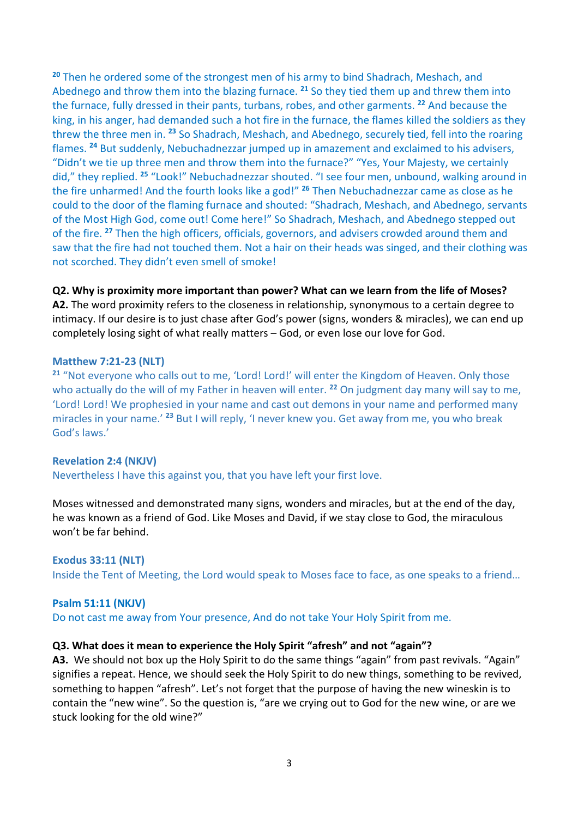**<sup>20</sup>** Then he ordered some of the strongest men of his army to bind Shadrach, Meshach, and Abednego and throw them into the blazing furnace. **<sup>21</sup>** So they tied them up and threw them into the furnace, fully dressed in their pants, turbans, robes, and other garments. **<sup>22</sup>** And because the king, in his anger, had demanded such a hot fire in the furnace, the flames killed the soldiers as they threw the three men in. **<sup>23</sup>** So Shadrach, Meshach, and Abednego, securely tied, fell into the roaring flames. **<sup>24</sup>** But suddenly, Nebuchadnezzar jumped up in amazement and exclaimed to his advisers, "Didn't we tie up three men and throw them into the furnace?" "Yes, Your Majesty, we certainly did," they replied. **<sup>25</sup>** "Look!" Nebuchadnezzar shouted. "I see four men, unbound, walking around in the fire unharmed! And the fourth looks like a god!" **<sup>26</sup>** Then Nebuchadnezzar came as close as he could to the door of the flaming furnace and shouted: "Shadrach, Meshach, and Abednego, servants of the Most High God, come out! Come here!" So Shadrach, Meshach, and Abednego stepped out of the fire. **<sup>27</sup>** Then the high officers, officials, governors, and advisers crowded around them and saw that the fire had not touched them. Not a hair on their heads was singed, and their clothing was not scorched. They didn't even smell of smoke!

## **Q2. Why is proximity more important than power? What can we learn from the life of Moses?**

**A2.** The word proximity refers to the closeness in relationship, synonymous to a certain degree to intimacy. If our desire is to just chase after God's power (signs, wonders & miracles), we can end up completely losing sight of what really matters – God, or even lose our love for God.

### **Matthew 7:21-23 (NLT)**

<sup>21</sup> "Not everyone who calls out to me, 'Lord! Lord!' will enter the Kingdom of Heaven. Only those who actually do the will of my Father in heaven will enter. **<sup>22</sup>** On judgment day many will say to me, 'Lord! Lord! We prophesied in your name and cast out demons in your name and performed many miracles in your name.' **<sup>23</sup>** But I will reply, 'I never knew you. Get away from me, you who break God's laws.'

### **Revelation 2:4 (NKJV)**

Nevertheless I have this against you, that you have left your first love.

Moses witnessed and demonstrated many signs, wonders and miracles, but at the end of the day, he was known as a friend of God. Like Moses and David, if we stay close to God, the miraculous won't be far behind.

**Exodus 33:11 (NLT)** Inside the Tent of Meeting, the Lord would speak to Moses face to face, as one speaks to a friend…

### **Psalm 51:11 (NKJV)**

Do not cast me away from Your presence, And do not take Your Holy Spirit from me.

# **Q3. What does it mean to experience the Holy Spirit "afresh" and not "again"?**

**A3.** We should not box up the Holy Spirit to do the same things "again" from past revivals. "Again" signifies a repeat. Hence, we should seek the Holy Spirit to do new things, something to be revived, something to happen "afresh". Let's not forget that the purpose of having the new wineskin is to contain the "new wine". So the question is, "are we crying out to God for the new wine, or are we stuck looking for the old wine?"